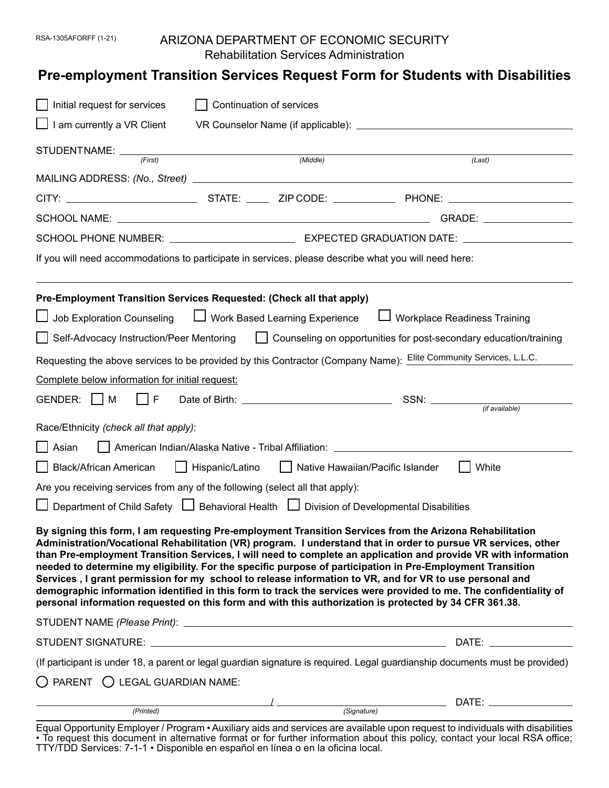### RSA-1305AFORFF (1-21) ARIZONA DEPARTMENT OF ECONOMIC SECURITY Rehabilitation Services Administration

# **Pre-employment Transition Services Request Form for Students with Disabilities**

| Initial request for services                                                                                                                                                                                                                                                                                                                                                                                                                                                                                                                                                                                                                                                                                                                                                                          | Continuation of services                                                                                                      |                                |                            |  |
|-------------------------------------------------------------------------------------------------------------------------------------------------------------------------------------------------------------------------------------------------------------------------------------------------------------------------------------------------------------------------------------------------------------------------------------------------------------------------------------------------------------------------------------------------------------------------------------------------------------------------------------------------------------------------------------------------------------------------------------------------------------------------------------------------------|-------------------------------------------------------------------------------------------------------------------------------|--------------------------------|----------------------------|--|
| $\perp$ I am currently a VR Client                                                                                                                                                                                                                                                                                                                                                                                                                                                                                                                                                                                                                                                                                                                                                                    |                                                                                                                               |                                |                            |  |
| STUDENTNAME: <i>First</i>                                                                                                                                                                                                                                                                                                                                                                                                                                                                                                                                                                                                                                                                                                                                                                             | (Middle)                                                                                                                      |                                | (Last)                     |  |
|                                                                                                                                                                                                                                                                                                                                                                                                                                                                                                                                                                                                                                                                                                                                                                                                       |                                                                                                                               |                                |                            |  |
|                                                                                                                                                                                                                                                                                                                                                                                                                                                                                                                                                                                                                                                                                                                                                                                                       |                                                                                                                               |                                |                            |  |
|                                                                                                                                                                                                                                                                                                                                                                                                                                                                                                                                                                                                                                                                                                                                                                                                       |                                                                                                                               |                                | GRADE: ___________________ |  |
|                                                                                                                                                                                                                                                                                                                                                                                                                                                                                                                                                                                                                                                                                                                                                                                                       |                                                                                                                               |                                |                            |  |
|                                                                                                                                                                                                                                                                                                                                                                                                                                                                                                                                                                                                                                                                                                                                                                                                       | If you will need accommodations to participate in services, please describe what you will need here:                          |                                |                            |  |
|                                                                                                                                                                                                                                                                                                                                                                                                                                                                                                                                                                                                                                                                                                                                                                                                       | Pre-Employment Transition Services Requested: (Check all that apply)                                                          |                                |                            |  |
| Job Exploration Counseling                                                                                                                                                                                                                                                                                                                                                                                                                                                                                                                                                                                                                                                                                                                                                                            | □ Work Based Learning Experience                                                                                              | □ Workplace Readiness Training |                            |  |
| Self-Advocacy Instruction/Peer Mentoring   Counseling on opportunities for post-secondary education/training                                                                                                                                                                                                                                                                                                                                                                                                                                                                                                                                                                                                                                                                                          |                                                                                                                               |                                |                            |  |
| Requesting the above services to be provided by this Contractor (Company Name): Elite Community Services, L.L.C.                                                                                                                                                                                                                                                                                                                                                                                                                                                                                                                                                                                                                                                                                      |                                                                                                                               |                                |                            |  |
| Complete below information for initial request:                                                                                                                                                                                                                                                                                                                                                                                                                                                                                                                                                                                                                                                                                                                                                       |                                                                                                                               |                                |                            |  |
| GENDER: □ M<br>l IF                                                                                                                                                                                                                                                                                                                                                                                                                                                                                                                                                                                                                                                                                                                                                                                   |                                                                                                                               |                                | SSN: <i>(if available)</i> |  |
|                                                                                                                                                                                                                                                                                                                                                                                                                                                                                                                                                                                                                                                                                                                                                                                                       |                                                                                                                               |                                |                            |  |
| Race/Ethnicity (check all that apply):                                                                                                                                                                                                                                                                                                                                                                                                                                                                                                                                                                                                                                                                                                                                                                |                                                                                                                               |                                |                            |  |
| ∣ Asian                                                                                                                                                                                                                                                                                                                                                                                                                                                                                                                                                                                                                                                                                                                                                                                               | American Indian/Alaska Native - Tribal Affiliation: ____________________________                                              |                                |                            |  |
|                                                                                                                                                                                                                                                                                                                                                                                                                                                                                                                                                                                                                                                                                                                                                                                                       | Black/African American   Hispanic/Latino   Native Hawaiian/Pacific Islander                                                   |                                | White                      |  |
|                                                                                                                                                                                                                                                                                                                                                                                                                                                                                                                                                                                                                                                                                                                                                                                                       | Are you receiving services from any of the following (select all that apply):                                                 |                                |                            |  |
|                                                                                                                                                                                                                                                                                                                                                                                                                                                                                                                                                                                                                                                                                                                                                                                                       | □ Department of Child Safety □ Behavioral Health □ Division of Developmental Disabilities                                     |                                |                            |  |
| By signing this form, I am requesting Pre-employment Transition Services from the Arizona Rehabilitation<br>Administration/Vocational Rehabilitation (VR) program. I understand that in order to pursue VR services, other<br>than Pre-employment Transition Services, I will need to complete an application and provide VR with information<br>needed to determine my eligibility. For the specific purpose of participation in Pre-Employment Transition<br>Services, I grant permission for my school to release information to VR, and for VR to use personal and<br>demographic information identified in this form to track the services were provided to me. The confidentiality of<br>personal information requested on this form and with this authorization is protected by 34 CFR 361.38. |                                                                                                                               |                                |                            |  |
|                                                                                                                                                                                                                                                                                                                                                                                                                                                                                                                                                                                                                                                                                                                                                                                                       |                                                                                                                               |                                |                            |  |
|                                                                                                                                                                                                                                                                                                                                                                                                                                                                                                                                                                                                                                                                                                                                                                                                       |                                                                                                                               |                                |                            |  |
|                                                                                                                                                                                                                                                                                                                                                                                                                                                                                                                                                                                                                                                                                                                                                                                                       | (If participant is under 18, a parent or legal guardian signature is required. Legal guardianship documents must be provided) |                                |                            |  |
| O PARENT O LEGAL GUARDIAN NAME:                                                                                                                                                                                                                                                                                                                                                                                                                                                                                                                                                                                                                                                                                                                                                                       |                                                                                                                               |                                |                            |  |
| (Printed)                                                                                                                                                                                                                                                                                                                                                                                                                                                                                                                                                                                                                                                                                                                                                                                             | $\frac{1}{\sqrt{2\pi}}$ (Signature)                                                                                           |                                | DATE: _________________    |  |
|                                                                                                                                                                                                                                                                                                                                                                                                                                                                                                                                                                                                                                                                                                                                                                                                       |                                                                                                                               |                                |                            |  |

Equal Opportunity Employer / Program • Auxiliary aids and services are available upon request to individuals with disabilities • To request this document in alternative format or for further information about this policy, contact your local RSA office; TTY/TDD Services: 7-1-1 • Disponible en español en línea o en la oficina local.